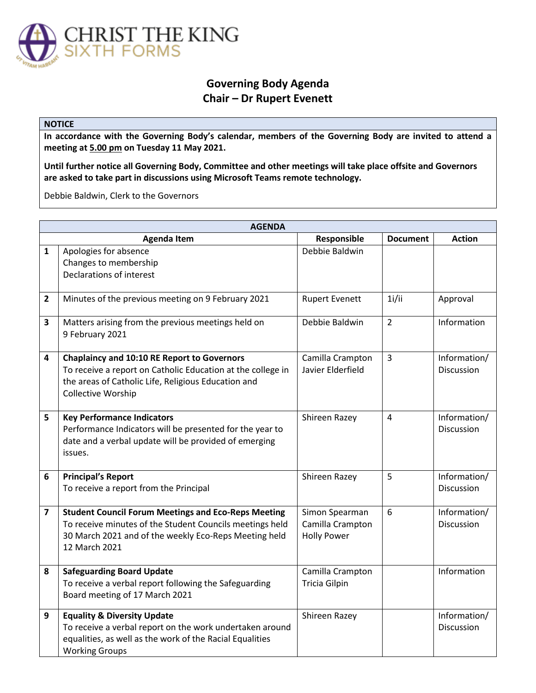

## **Governing Body Agenda Chair – Dr Rupert Evenett**

## **NOTICE**

**In accordance with the Governing Body's calendar, members of the Governing Body are invited to attend a meeting at 5.00 pm on Tuesday 11 May 2021.** 

**Until further notice all Governing Body, Committee and other meetings will take place offsite and Governors are asked to take part in discussions using Microsoft Teams remote technology.** 

Debbie Baldwin, Clerk to the Governors

| <b>AGENDA</b>  |                                                                                                                                                                                                  |                                                          |                 |                                   |  |  |
|----------------|--------------------------------------------------------------------------------------------------------------------------------------------------------------------------------------------------|----------------------------------------------------------|-----------------|-----------------------------------|--|--|
|                | <b>Agenda Item</b>                                                                                                                                                                               | Responsible                                              | <b>Document</b> | <b>Action</b>                     |  |  |
| $\mathbf{1}$   | Apologies for absence                                                                                                                                                                            | Debbie Baldwin                                           |                 |                                   |  |  |
|                | Changes to membership                                                                                                                                                                            |                                                          |                 |                                   |  |  |
|                | Declarations of interest                                                                                                                                                                         |                                                          |                 |                                   |  |  |
| $\overline{2}$ | Minutes of the previous meeting on 9 February 2021                                                                                                                                               | <b>Rupert Evenett</b>                                    | 1i/ii           | Approval                          |  |  |
| 3              | Matters arising from the previous meetings held on<br>9 February 2021                                                                                                                            | Debbie Baldwin                                           | $\overline{2}$  | Information                       |  |  |
| 4              | <b>Chaplaincy and 10:10 RE Report to Governors</b><br>To receive a report on Catholic Education at the college in<br>the areas of Catholic Life, Religious Education and                         | Camilla Crampton<br>Javier Elderfield                    | $\overline{3}$  | Information/<br>Discussion        |  |  |
| 5              | <b>Collective Worship</b><br><b>Key Performance Indicators</b><br>Performance Indicators will be presented for the year to<br>date and a verbal update will be provided of emerging              | Shireen Razey                                            | 4               | Information/<br>Discussion        |  |  |
| 6              | issues.<br><b>Principal's Report</b><br>To receive a report from the Principal                                                                                                                   | Shireen Razey                                            | 5               | Information/<br>Discussion        |  |  |
|                |                                                                                                                                                                                                  |                                                          |                 |                                   |  |  |
| 7              | <b>Student Council Forum Meetings and Eco-Reps Meeting</b><br>To receive minutes of the Student Councils meetings held<br>30 March 2021 and of the weekly Eco-Reps Meeting held<br>12 March 2021 | Simon Spearman<br>Camilla Crampton<br><b>Holly Power</b> | 6               | Information/<br>Discussion        |  |  |
| 8              | <b>Safeguarding Board Update</b><br>To receive a verbal report following the Safeguarding<br>Board meeting of 17 March 2021                                                                      | Camilla Crampton<br><b>Tricia Gilpin</b>                 |                 | Information                       |  |  |
| 9              | <b>Equality &amp; Diversity Update</b><br>To receive a verbal report on the work undertaken around<br>equalities, as well as the work of the Racial Equalities<br><b>Working Groups</b>          | Shireen Razey                                            |                 | Information/<br><b>Discussion</b> |  |  |